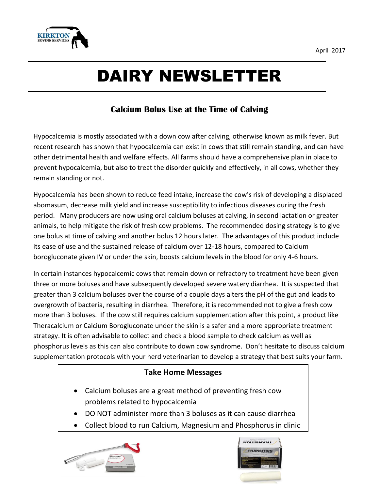

# DAIRY NEWSLETTER

## **Calcium Bolus Use at the Time of Calving**

Hypocalcemia is mostly associated with a down cow after calving, otherwise known as milk fever. But recent research has shown that hypocalcemia can exist in cows that still remain standing, and can have other detrimental health and welfare effects. All farms should have a comprehensive plan in place to prevent hypocalcemia, but also to treat the disorder quickly and effectively, in all cows, whether they remain standing or not.

Hypocalcemia has been shown to reduce feed intake, increase the cow's risk of developing a displaced abomasum, decrease milk yield and increase susceptibility to infectious diseases during the fresh period. Many producers are now using oral calcium boluses at calving, in second lactation or greater animals, to help mitigate the risk of fresh cow problems. The recommended dosing strategy is to give one bolus at time of calving and another bolus 12 hours later. The advantages of this product include its ease of use and the sustained release of calcium over 12-18 hours, compared to Calcium borogluconate given IV or under the skin, boosts calcium levels in the blood for only 4-6 hours.

In certain instances hypocalcemic cows that remain down or refractory to treatment have been given three or more boluses and have subsequently developed severe watery diarrhea. It is suspected that greater than 3 calcium boluses over the course of a couple days alters the pH of the gut and leads to overgrowth of bacteria, resulting in diarrhea. Therefore, it is recommended not to give a fresh cow more than 3 boluses. If the cow still requires calcium supplementation after this point, a product like Theracalcium or Calcium Borogluconate under the skin is a safer and a more appropriate treatment strategy. It is often advisable to collect and check a blood sample to check calcium as well as phosphorus levels as this can also contribute to down cow syndrome. Don't hesitate to discuss calcium supplementation protocols with your herd veterinarian to develop a strategy that best suits your farm.

## **Take Home Messages**

- Calcium boluses are a great method of preventing fresh cow problems related to hypocalcemia
- DO NOT administer more than 3 boluses as it can cause diarrhea
- Collect blood to run Calcium, Magnesium and Phosphorus in clinic